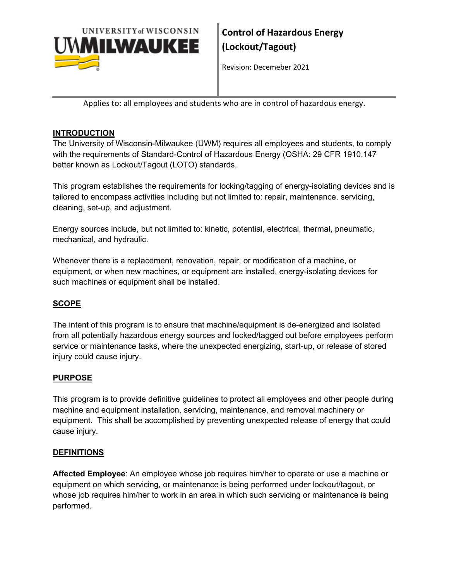

Revision: Decemeber 2021

Applies to: all employees and students who are in control of hazardous energy.

# **INTRODUCTION**

The University of Wisconsin-Milwaukee (UWM) requires all employees and students, to comply with the requirements of Standard-Control of Hazardous Energy (OSHA: 29 CFR 1910.147 better known as Lockout/Tagout (LOTO) standards.

This program establishes the requirements for locking/tagging of energy-isolating devices and is tailored to encompass activities including but not limited to: repair, maintenance, servicing, cleaning, set-up, and adjustment.

Energy sources include, but not limited to: kinetic, potential, electrical, thermal, pneumatic, mechanical, and hydraulic.

Whenever there is a replacement, renovation, repair, or modification of a machine, or equipment, or when new machines, or equipment are installed, energy-isolating devices for such machines or equipment shall be installed.

# **SCOPE**

The intent of this program is to ensure that machine/equipment is de-energized and isolated from all potentially hazardous energy sources and locked/tagged out before employees perform service or maintenance tasks, where the unexpected energizing, start-up, or release of stored injury could cause injury.

# **PURPOSE**

This program is to provide definitive guidelines to protect all employees and other people during machine and equipment installation, servicing, maintenance, and removal machinery or equipment. This shall be accomplished by preventing unexpected release of energy that could cause injury.

#### **DEFINITIONS**

**Affected Employee**: An employee whose job requires him/her to operate or use a machine or equipment on which servicing, or maintenance is being performed under lockout/tagout, or whose job requires him/her to work in an area in which such servicing or maintenance is being performed.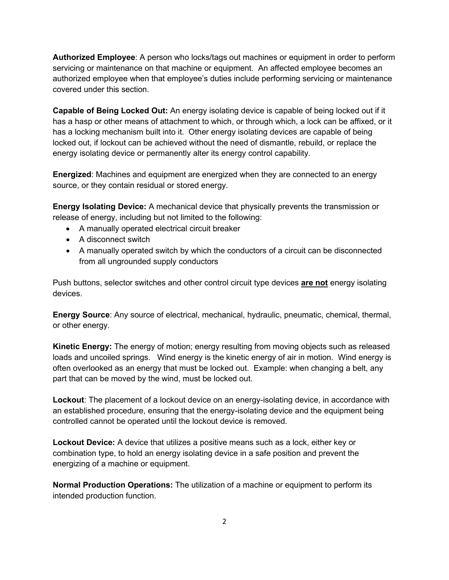**Authorized Employee**: A person who locks/tags out machines or equipment in order to perform servicing or maintenance on that machine or equipment. An affected employee becomes an authorized employee when that employee's duties include performing servicing or maintenance covered under this section.

**Capable of Being Locked Out:** An energy isolating device is capable of being locked out if it has a hasp or other means of attachment to which, or through which, a lock can be affixed, or it has a locking mechanism built into it. Other energy isolating devices are capable of being locked out, if lockout can be achieved without the need of dismantle, rebuild, or replace the energy isolating device or permanently alter its energy control capability.

**Energized**: Machines and equipment are energized when they are connected to an energy source, or they contain residual or stored energy.

**Energy Isolating Device:** A mechanical device that physically prevents the transmission or release of energy, including but not limited to the following:

- A manually operated electrical circuit breaker
- A disconnect switch
- A manually operated switch by which the conductors of a circuit can be disconnected from all ungrounded supply conductors

Push buttons, selector switches and other control circuit type devices **are not** energy isolating devices.

**Energy Source**: Any source of electrical, mechanical, hydraulic, pneumatic, chemical, thermal, or other energy.

**Kinetic Energy:** The energy of motion; energy resulting from moving objects such as released loads and uncoiled springs. Wind energy is the kinetic energy of air in motion. Wind energy is often overlooked as an energy that must be locked out. Example: when changing a belt, any part that can be moved by the wind, must be locked out.

**Lockout**: The placement of a lockout device on an energy-isolating device, in accordance with an established procedure, ensuring that the energy-isolating device and the equipment being controlled cannot be operated until the lockout device is removed.

**Lockout Device:** A device that utilizes a positive means such as a lock, either key or combination type, to hold an energy isolating device in a safe position and prevent the energizing of a machine or equipment.

**Normal Production Operations:** The utilization of a machine or equipment to perform its intended production function.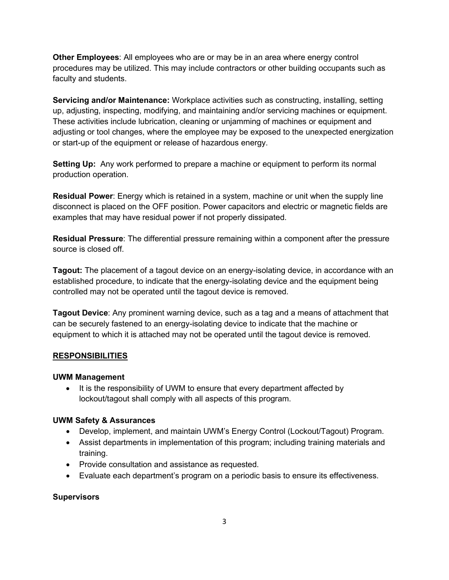**Other Employees**: All employees who are or may be in an area where energy control procedures may be utilized. This may include contractors or other building occupants such as faculty and students.

**Servicing and/or Maintenance:** Workplace activities such as constructing, installing, setting up, adjusting, inspecting, modifying, and maintaining and/or servicing machines or equipment. These activities include lubrication, cleaning or unjamming of machines or equipment and adjusting or tool changes, where the employee may be exposed to the unexpected energization or start-up of the equipment or release of hazardous energy.

**Setting Up:** Any work performed to prepare a machine or equipment to perform its normal production operation.

**Residual Power**: Energy which is retained in a system, machine or unit when the supply line disconnect is placed on the OFF position. Power capacitors and electric or magnetic fields are examples that may have residual power if not properly dissipated.

**Residual Pressure**: The differential pressure remaining within a component after the pressure source is closed off.

**Tagout:** The placement of a tagout device on an energy-isolating device, in accordance with an established procedure, to indicate that the energy-isolating device and the equipment being controlled may not be operated until the tagout device is removed.

**Tagout Device**: Any prominent warning device, such as a tag and a means of attachment that can be securely fastened to an energy-isolating device to indicate that the machine or equipment to which it is attached may not be operated until the tagout device is removed.

#### **RESPONSIBILITIES**

#### **UWM Management**

• It is the responsibility of UWM to ensure that every department affected by lockout/tagout shall comply with all aspects of this program.

#### **UWM Safety & Assurances**

- Develop, implement, and maintain UWM's Energy Control (Lockout/Tagout) Program.
- Assist departments in implementation of this program; including training materials and training.
- Provide consultation and assistance as requested.
- Evaluate each department's program on a periodic basis to ensure its effectiveness.

#### **Supervisors**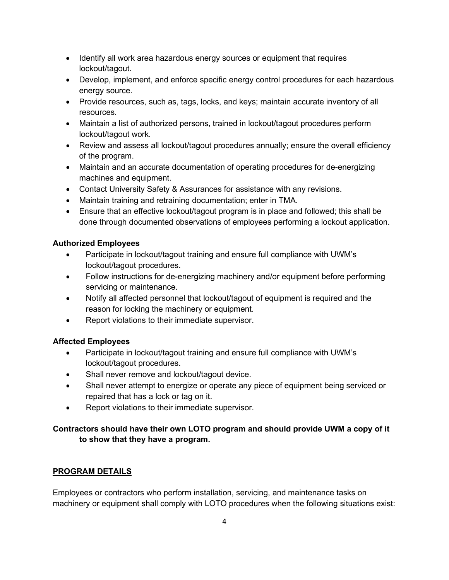- Identify all work area hazardous energy sources or equipment that requires lockout/tagout.
- Develop, implement, and enforce specific energy control procedures for each hazardous energy source.
- Provide resources, such as, tags, locks, and keys; maintain accurate inventory of all resources.
- Maintain a list of authorized persons, trained in lockout/tagout procedures perform lockout/tagout work.
- Review and assess all lockout/tagout procedures annually; ensure the overall efficiency of the program.
- Maintain and an accurate documentation of operating procedures for de-energizing machines and equipment.
- Contact University Safety & Assurances for assistance with any revisions.
- Maintain training and retraining documentation; enter in TMA.
- Ensure that an effective lockout/tagout program is in place and followed; this shall be done through documented observations of employees performing a lockout application.

#### **Authorized Employees**

- Participate in lockout/tagout training and ensure full compliance with UWM's lockout/tagout procedures.
- Follow instructions for de-energizing machinery and/or equipment before performing servicing or maintenance.
- Notify all affected personnel that lockout/tagout of equipment is required and the reason for locking the machinery or equipment.
- Report violations to their immediate supervisor.

# **Affected Employees**

- Participate in lockout/tagout training and ensure full compliance with UWM's lockout/tagout procedures.
- Shall never remove and lockout/tagout device.
- Shall never attempt to energize or operate any piece of equipment being serviced or repaired that has a lock or tag on it.
- Report violations to their immediate supervisor.

# **Contractors should have their own LOTO program and should provide UWM a copy of it to show that they have a program.**

#### **PROGRAM DETAILS**

Employees or contractors who perform installation, servicing, and maintenance tasks on machinery or equipment shall comply with LOTO procedures when the following situations exist: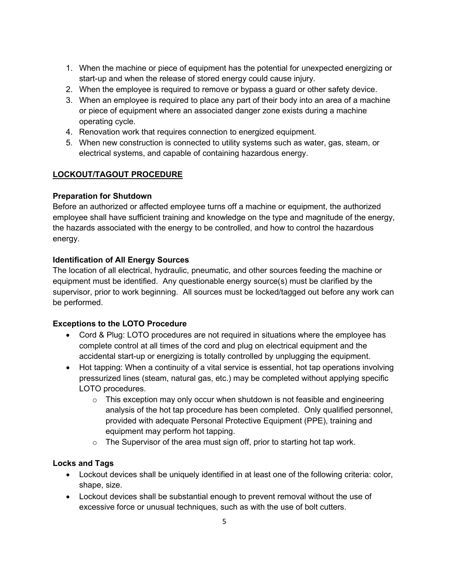- 1. When the machine or piece of equipment has the potential for unexpected energizing or start-up and when the release of stored energy could cause injury.
- 2. When the employee is required to remove or bypass a guard or other safety device.
- 3. When an employee is required to place any part of their body into an area of a machine or piece of equipment where an associated danger zone exists during a machine operating cycle.
- 4. Renovation work that requires connection to energized equipment.
- 5. When new construction is connected to utility systems such as water, gas, steam, or electrical systems, and capable of containing hazardous energy.

# **LOCKOUT/TAGOUT PROCEDURE**

## **Preparation for Shutdown**

Before an authorized or affected employee turns off a machine or equipment, the authorized employee shall have sufficient training and knowledge on the type and magnitude of the energy, the hazards associated with the energy to be controlled, and how to control the hazardous energy.

## **Identification of All Energy Sources**

The location of all electrical, hydraulic, pneumatic, and other sources feeding the machine or equipment must be identified. Any questionable energy source(s) must be clarified by the supervisor, prior to work beginning. All sources must be locked/tagged out before any work can be performed.

# **Exceptions to the LOTO Procedure**

- Cord & Plug: LOTO procedures are not required in situations where the employee has complete control at all times of the cord and plug on electrical equipment and the accidental start-up or energizing is totally controlled by unplugging the equipment.
- Hot tapping: When a continuity of a vital service is essential, hot tap operations involving pressurized lines (steam, natural gas, etc.) may be completed without applying specific LOTO procedures.
	- $\circ$  This exception may only occur when shutdown is not feasible and engineering analysis of the hot tap procedure has been completed. Only qualified personnel, provided with adequate Personal Protective Equipment (PPE), training and equipment may perform hot tapping.
	- $\circ$  The Supervisor of the area must sign off, prior to starting hot tap work.

#### **Locks and Tags**

- Lockout devices shall be uniquely identified in at least one of the following criteria: color, shape, size.
- Lockout devices shall be substantial enough to prevent removal without the use of excessive force or unusual techniques, such as with the use of bolt cutters.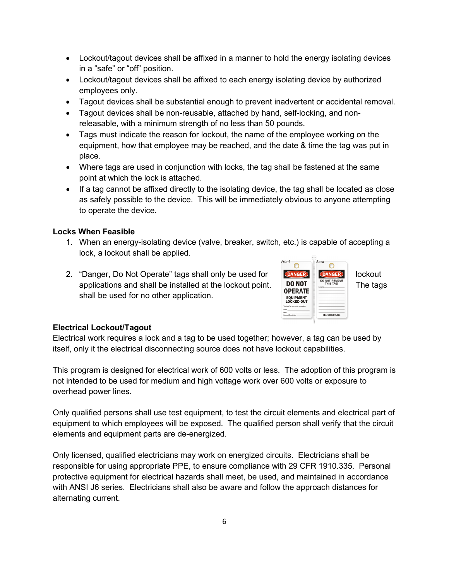- Lockout/tagout devices shall be affixed in a manner to hold the energy isolating devices in a "safe" or "off" position.
- Lockout/tagout devices shall be affixed to each energy isolating device by authorized employees only.
- Tagout devices shall be substantial enough to prevent inadvertent or accidental removal.
- Tagout devices shall be non-reusable, attached by hand, self-locking, and nonreleasable, with a minimum strength of no less than 50 pounds.
- Tags must indicate the reason for lockout, the name of the employee working on the equipment, how that employee may be reached, and the date & time the tag was put in place.
- Where tags are used in conjunction with locks, the tag shall be fastened at the same point at which the lock is attached.
- If a tag cannot be affixed directly to the isolating device, the tag shall be located as close as safely possible to the device. This will be immediately obvious to anyone attempting to operate the device.

#### **Locks When Feasible**

- 1. When an energy-isolating device (valve, breaker, switch, etc.) is capable of accepting a lock, a lockout shall be applied.
- 2. "Danger, Do Not Operate" tags shall only be used for **COANGER** COANGER lockout applications and shall be installed at the lockout point. The tags shall be used for no other application.



#### **Electrical Lockout/Tagout**

Electrical work requires a lock and a tag to be used together; however, a tag can be used by itself, only it the electrical disconnecting source does not have lockout capabilities.

This program is designed for electrical work of 600 volts or less. The adoption of this program is not intended to be used for medium and high voltage work over 600 volts or exposure to overhead power lines.

Only qualified persons shall use test equipment, to test the circuit elements and electrical part of equipment to which employees will be exposed. The qualified person shall verify that the circuit elements and equipment parts are de-energized.

Only licensed, qualified electricians may work on energized circuits. Electricians shall be responsible for using appropriate PPE, to ensure compliance with 29 CFR 1910.335. Personal protective equipment for electrical hazards shall meet, be used, and maintained in accordance with ANSI J6 series. Electricians shall also be aware and follow the approach distances for alternating current.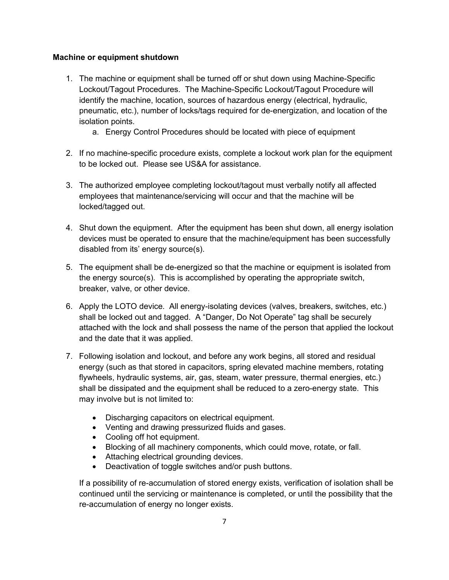#### **Machine or equipment shutdown**

- 1. The machine or equipment shall be turned off or shut down using Machine-Specific Lockout/Tagout Procedures. The Machine-Specific Lockout/Tagout Procedure will identify the machine, location, sources of hazardous energy (electrical, hydraulic, pneumatic, etc.), number of locks/tags required for de-energization, and location of the isolation points.
	- a. Energy Control Procedures should be located with piece of equipment
- 2. If no machine-specific procedure exists, complete a lockout work plan for the equipment to be locked out. Please see US&A for assistance.
- 3. The authorized employee completing lockout/tagout must verbally notify all affected employees that maintenance/servicing will occur and that the machine will be locked/tagged out.
- 4. Shut down the equipment. After the equipment has been shut down, all energy isolation devices must be operated to ensure that the machine/equipment has been successfully disabled from its' energy source(s).
- 5. The equipment shall be de-energized so that the machine or equipment is isolated from the energy source(s). This is accomplished by operating the appropriate switch, breaker, valve, or other device.
- 6. Apply the LOTO device. All energy-isolating devices (valves, breakers, switches, etc.) shall be locked out and tagged. A "Danger, Do Not Operate" tag shall be securely attached with the lock and shall possess the name of the person that applied the lockout and the date that it was applied.
- 7. Following isolation and lockout, and before any work begins, all stored and residual energy (such as that stored in capacitors, spring elevated machine members, rotating flywheels, hydraulic systems, air, gas, steam, water pressure, thermal energies, etc.) shall be dissipated and the equipment shall be reduced to a zero-energy state. This may involve but is not limited to:
	- Discharging capacitors on electrical equipment.
	- Venting and drawing pressurized fluids and gases.
	- Cooling off hot equipment.
	- Blocking of all machinery components, which could move, rotate, or fall.
	- Attaching electrical grounding devices.
	- Deactivation of toggle switches and/or push buttons.

If a possibility of re-accumulation of stored energy exists, verification of isolation shall be continued until the servicing or maintenance is completed, or until the possibility that the re-accumulation of energy no longer exists.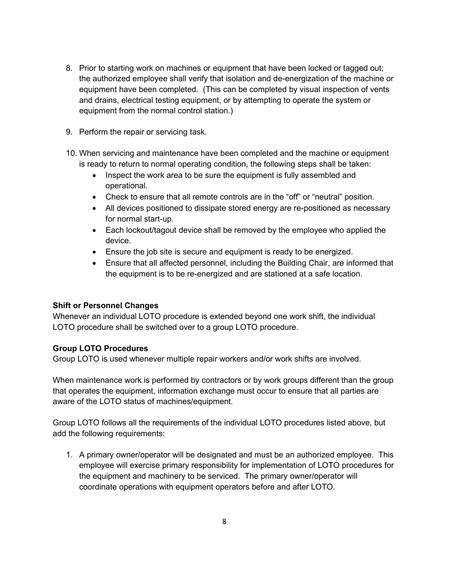- 8. Prior to starting work on machines or equipment that have been locked or tagged out; the authorized employee shall verify that isolation and de-energization of the machine or equipment have been completed. (This can be completed by visual inspection of vents and drains, electrical testing equipment, or by attempting to operate the system or equipment from the normal control station.)
- 9. Perform the repair or servicing task.
- 10. When servicing and maintenance have been completed and the machine or equipment is ready to return to normal operating condition, the following steps shall be taken:
	- Inspect the work area to be sure the equipment is fully assembled and operational.
	- Check to ensure that all remote controls are in the "off" or "neutral" position.
	- All devices positioned to dissipate stored energy are re-positioned as necessary for normal start-up.
	- Each lockout/tagout device shall be removed by the employee who applied the device.
	- Ensure the job site is secure and equipment is ready to be energized.
	- Ensure that all affected personnel, including the Building Chair, are informed that the equipment is to be re-energized and are stationed at a safe location.

#### **Shift or Personnel Changes**

Whenever an individual LOTO procedure is extended beyond one work shift, the individual LOTO procedure shall be switched over to a group LOTO procedure.

#### **Group LOTO Procedures**

Group LOTO is used whenever multiple repair workers and/or work shifts are involved.

When maintenance work is performed by contractors or by work groups different than the group that operates the equipment, information exchange must occur to ensure that all parties are aware of the LOTO status of machines/equipment.

Group LOTO follows all the requirements of the individual LOTO procedures listed above, but add the following requirements:

1. A primary owner/operator will be designated and must be an authorized employee. This employee will exercise primary responsibility for implementation of LOTO procedures for the equipment and machinery to be serviced. The primary owner/operator will coordinate operations with equipment operators before and after LOTO.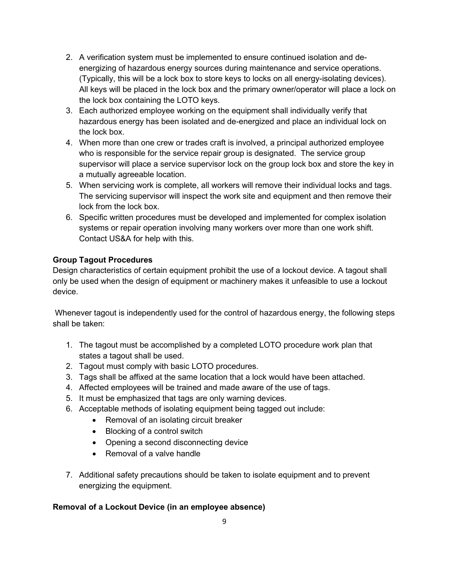- 2. A verification system must be implemented to ensure continued isolation and deenergizing of hazardous energy sources during maintenance and service operations. (Typically, this will be a lock box to store keys to locks on all energy-isolating devices). All keys will be placed in the lock box and the primary owner/operator will place a lock on the lock box containing the LOTO keys.
- 3. Each authorized employee working on the equipment shall individually verify that hazardous energy has been isolated and de-energized and place an individual lock on the lock box.
- 4. When more than one crew or trades craft is involved, a principal authorized employee who is responsible for the service repair group is designated. The service group supervisor will place a service supervisor lock on the group lock box and store the key in a mutually agreeable location.
- 5. When servicing work is complete, all workers will remove their individual locks and tags. The servicing supervisor will inspect the work site and equipment and then remove their lock from the lock box.
- 6. Specific written procedures must be developed and implemented for complex isolation systems or repair operation involving many workers over more than one work shift. Contact US&A for help with this.

# **Group Tagout Procedures**

Design characteristics of certain equipment prohibit the use of a lockout device. A tagout shall only be used when the design of equipment or machinery makes it unfeasible to use a lockout device.

Whenever tagout is independently used for the control of hazardous energy, the following steps shall be taken:

- 1. The tagout must be accomplished by a completed LOTO procedure work plan that states a tagout shall be used.
- 2. Tagout must comply with basic LOTO procedures.
- 3. Tags shall be affixed at the same location that a lock would have been attached.
- 4. Affected employees will be trained and made aware of the use of tags.
- 5. It must be emphasized that tags are only warning devices.
- 6. Acceptable methods of isolating equipment being tagged out include:
	- Removal of an isolating circuit breaker
		- Blocking of a control switch
		- Opening a second disconnecting device
		- Removal of a valve handle
- 7. Additional safety precautions should be taken to isolate equipment and to prevent energizing the equipment.

# **Removal of a Lockout Device (in an employee absence)**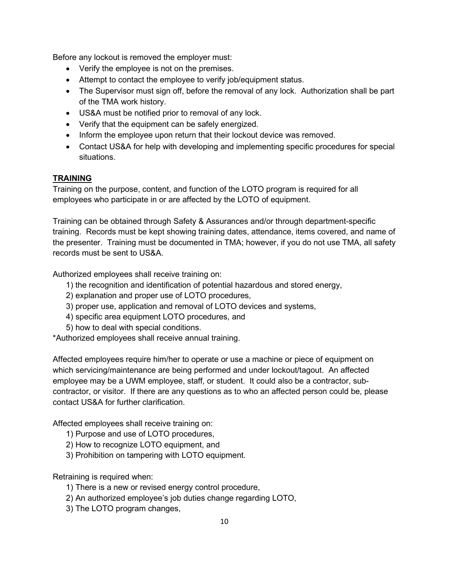Before any lockout is removed the employer must:

- Verify the employee is not on the premises.
- Attempt to contact the employee to verify job/equipment status.
- The Supervisor must sign off, before the removal of any lock. Authorization shall be part of the TMA work history.
- US&A must be notified prior to removal of any lock.
- Verify that the equipment can be safely energized.
- Inform the employee upon return that their lockout device was removed.
- Contact US&A for help with developing and implementing specific procedures for special situations.

## **TRAINING**

Training on the purpose, content, and function of the LOTO program is required for all employees who participate in or are affected by the LOTO of equipment.

Training can be obtained through Safety & Assurances and/or through department-specific training. Records must be kept showing training dates, attendance, items covered, and name of the presenter. Training must be documented in TMA; however, if you do not use TMA, all safety records must be sent to US&A.

Authorized employees shall receive training on:

- 1) the recognition and identification of potential hazardous and stored energy,
- 2) explanation and proper use of LOTO procedures,
- 3) proper use, application and removal of LOTO devices and systems,
- 4) specific area equipment LOTO procedures, and
- 5) how to deal with special conditions.

\*Authorized employees shall receive annual training.

Affected employees require him/her to operate or use a machine or piece of equipment on which servicing/maintenance are being performed and under lockout/tagout. An affected employee may be a UWM employee, staff, or student. It could also be a contractor, subcontractor, or visitor. If there are any questions as to who an affected person could be, please contact US&A for further clarification.

Affected employees shall receive training on:

- 1) Purpose and use of LOTO procedures,
- 2) How to recognize LOTO equipment, and
- 3) Prohibition on tampering with LOTO equipment.

Retraining is required when:

- 1) There is a new or revised energy control procedure,
- 2) An authorized employee's job duties change regarding LOTO,
- 3) The LOTO program changes,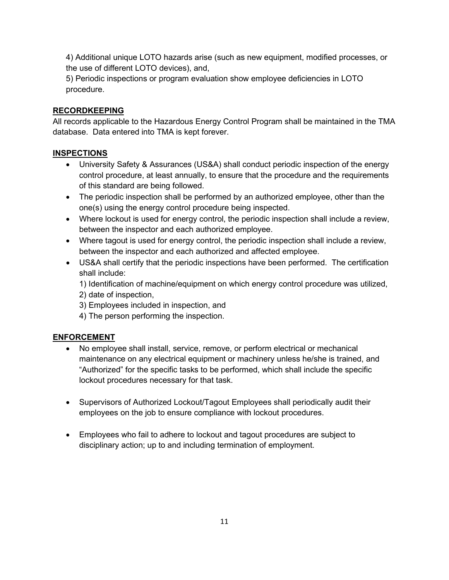4) Additional unique LOTO hazards arise (such as new equipment, modified processes, or the use of different LOTO devices), and,

5) Periodic inspections or program evaluation show employee deficiencies in LOTO procedure.

## **RECORDKEEPING**

All records applicable to the Hazardous Energy Control Program shall be maintained in the TMA database. Data entered into TMA is kept forever.

## **INSPECTIONS**

- University Safety & Assurances (US&A) shall conduct periodic inspection of the energy control procedure, at least annually, to ensure that the procedure and the requirements of this standard are being followed.
- The periodic inspection shall be performed by an authorized employee, other than the one(s) using the energy control procedure being inspected.
- Where lockout is used for energy control, the periodic inspection shall include a review, between the inspector and each authorized employee.
- Where tagout is used for energy control, the periodic inspection shall include a review, between the inspector and each authorized and affected employee.
- US&A shall certify that the periodic inspections have been performed. The certification shall include:

1) Identification of machine/equipment on which energy control procedure was utilized, 2) date of inspection,

- 3) Employees included in inspection, and
- 4) The person performing the inspection.

# **ENFORCEMENT**

- No employee shall install, service, remove, or perform electrical or mechanical maintenance on any electrical equipment or machinery unless he/she is trained, and "Authorized" for the specific tasks to be performed, which shall include the specific lockout procedures necessary for that task.
- Supervisors of Authorized Lockout/Tagout Employees shall periodically audit their employees on the job to ensure compliance with lockout procedures.
- Employees who fail to adhere to lockout and tagout procedures are subject to disciplinary action; up to and including termination of employment.